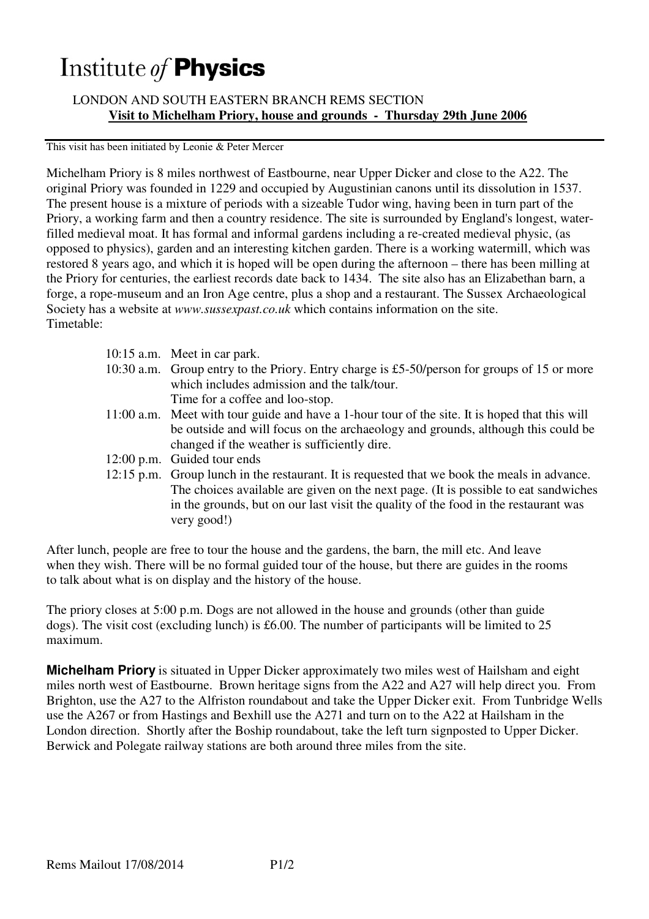## Institute of **Physics**

 LONDON AND SOUTH EASTERN BRANCH REMS SECTION **Visit to Michelham Priory, house and grounds - Thursday 29th June 2006** 

This visit has been initiated by Leonie & Peter Mercer

Michelham Priory is 8 miles northwest of Eastbourne, near Upper Dicker and close to the A22. The original Priory was founded in 1229 and occupied by Augustinian canons until its dissolution in 1537. The present house is a mixture of periods with a sizeable Tudor wing, having been in turn part of the Priory, a working farm and then a country residence. The site is surrounded by England's longest, waterfilled medieval moat. It has formal and informal gardens including a re-created medieval physic, (as opposed to physics), garden and an interesting kitchen garden. There is a working watermill, which was restored 8 years ago, and which it is hoped will be open during the afternoon – there has been milling at the Priory for centuries, the earliest records date back to 1434. The site also has an Elizabethan barn, a forge, a rope-museum and an Iron Age centre, plus a shop and a restaurant. The Sussex Archaeological Society has a website at *www.sussexpast.co.uk* which contains information on the site. Timetable:

| 10:15 a.m. Meet in car park.                                                                   |
|------------------------------------------------------------------------------------------------|
| 10:30 a.m. Group entry to the Priory. Entry charge is £5-50/person for groups of 15 or more    |
| which includes admission and the talk/tour.                                                    |
| Time for a coffee and loo-stop.                                                                |
| 11:00 a.m. Meet with tour guide and have a 1-hour tour of the site. It is hoped that this will |
| be outside and will focus on the archaeology and grounds, although this could be               |
| changed if the weather is sufficiently dire.                                                   |
| 12:00 p.m. Guided tour ends                                                                    |
| 12:15 p.m. Group lunch in the restaurant. It is requested that we book the meals in advance.   |
| The choices available are given on the next page. (It is possible to eat sandwiches            |
| in the grounds, but on our last visit the quality of the food in the restaurant was            |
| very good!)                                                                                    |
|                                                                                                |

After lunch, people are free to tour the house and the gardens, the barn, the mill etc. And leave when they wish. There will be no formal guided tour of the house, but there are guides in the rooms to talk about what is on display and the history of the house.

The priory closes at 5:00 p.m. Dogs are not allowed in the house and grounds (other than guide dogs). The visit cost (excluding lunch) is £6.00. The number of participants will be limited to 25 maximum.

**Michelham Priory** is situated in Upper Dicker approximately two miles west of Hailsham and eight miles north west of Eastbourne. Brown heritage signs from the A22 and A27 will help direct you. From Brighton, use the A27 to the Alfriston roundabout and take the Upper Dicker exit. From Tunbridge Wells use the A267 or from Hastings and Bexhill use the A271 and turn on to the A22 at Hailsham in the London direction. Shortly after the Boship roundabout, take the left turn signposted to Upper Dicker. Berwick and Polegate railway stations are both around three miles from the site.